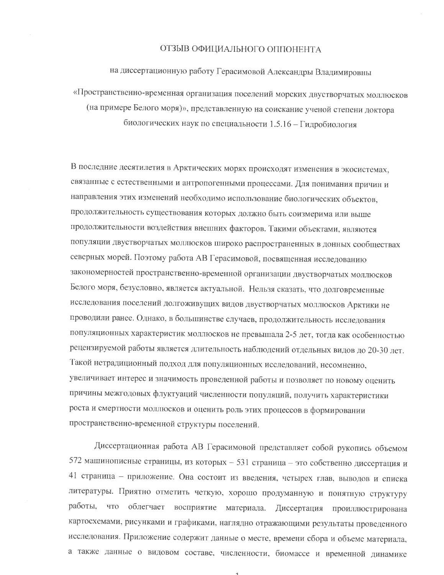## ОТЗЫВ ОФИЦИАЛЬНОГО ОППОНЕНТА

на диссертационную работу Герасимовой Александры Владимировны

«Пространственно-временная организация поселений морских двустворчатых моллюсков (на примере Белого моря)», представленную на соискание ученой степени доктора биологических наук по специальности 1.5.16 - Гидробиология

В последние десятилетия в Арктических морях происходят изменения в экосистемах, связанные с естественными и антропогенными процессами. Для понимания причин и направления этих изменений необходимо использование биологических объектов, продолжительность существования которых должно быть соизмерима или выше продолжительности воздействия внешних факторов. Такими объектами, являются популяции двустворчатых моллюсков широко распространенных в донных сообществах северных морей. Поэтому работа АВ Герасимовой, посвященная исследованию закономерностей пространственно-временной организации двустворчатых моллюсков Белого моря, безусловно, является актуальной. Нельзя сказать, что долговременные исследования поселений долгоживущих видов двустворчатых моллюсков Арктики не проводили ранее. Однако, в большинстве случаев, продолжительность исследования популяционных характеристик моллюсков не превышала 2-5 лет, тогда как особенностью рецензируемой работы является длительность наблюдений отдельных видов до 20-30 лет. Такой нетрадиционный подход для популяционных исследований, несомненно, увеличивает интерес и значимость проведенной работы и позволяет по новому оценить причины межгодовых флуктуаций численности популяций, получить характеристики роста и смертности моллюсков и оценить роль этих процессов в формировании пространственно-временной структуры поселений.

Диссертационная работа АВ Герасимовой представляет собой рукопись объемом 572 машинописные страницы, из которых - 531 страница - это собственно диссертация и 41 страница - приложение. Она состоит из введения, четырех глав, выводов и списка литературы. Приятно отметить четкую, хорошо продуманную и понятную структуру работы, что облегчает восприятие материала. Диссертация проиллюстрирована картосхемами, рисунками и графиками, наглядно отражающими результаты проведенного исследования. Приложение содержит данные о месте, времени сбора и объеме материала, а также данные о видовом составе, численности, биомассе и временной динамике

 $\overline{1}$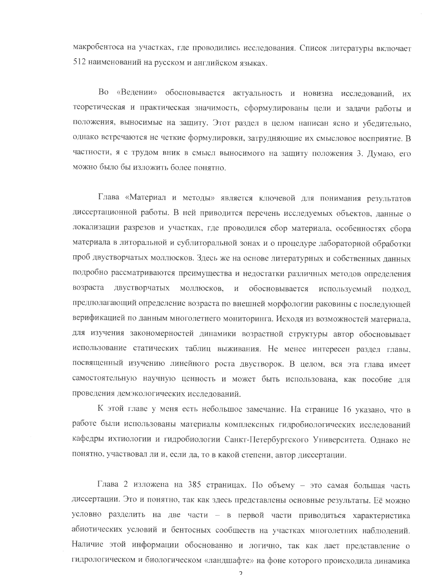макробентоса на участках, где проводились исследования. Список литературы включает 512 наименований на русском и английском языках.

Во «Ведении» обосновывается актуальность и новизна исследований, их теоретическая и практическая значимость, сформулированы цели и задачи работы и положения, выносимые на защиту. Этот раздел в целом написан ясно и убедительно, однако встречаются не четкие формулировки, затрудняющие их смысловое восприятие. В частности, я с трудом вник в смысл выносимого на защиту положения 3. Думаю, его можно было бы изложить более понятно.

Глава «Материал и методы» является ключевой для понимания результатов диссертационной работы. В ней приводится перечень исследуемых объектов, данные о локализации разрезов и участках, где проводился сбор материала, особенностях сбора материала в литоральной и сублиторальной зонах и о процедуре лабораторной обработки проб двустворчатых моллюсков. Здесь же на основе литературных и собственных данных подробно рассматриваются преимущества и недостатки различных методов определения возраста двустворчатых моллюсков, и обосновывается используемый подход, предполагающий определение возраста по внешней морфологии раковины с последующей верификацией по данным многолетнего мониторинга. Исходя из возможностей материала, для изучения закономерностей динамики возрастной структуры автор обосновывает использование статических таблиц выживания. Не менее интересен раздел главы, посвященный изучению линейного роста двустворок. В целом, вся эта глава имеет самостоятельную научную ценность и может быть использована, как пособие для проведения демэкологических исследований.

К этой главе у меня есть небольшое замечание. На странице 16 указано, что в работе были использованы материалы комплексных гидробиологических исследований кафедры ихтиологии и гидробиологии Санкт-Петербургского Университета. Однако не понятно, участвовал ли и, если да, то в какой степени, автор диссертации.

Глава 2 изложена на 385 страницах. По объему - это самая большая часть диссертации. Это и понятно, так как здесь представлены основные результаты. Её можно условно разделить на две части - в первой части приводиться характеристика абиотических условий и бентосных сообществ на участках многолетних наблюдений. Наличие этой информации обоснованно и логично, так как дает представление о гидрологическом и биологическом «ландшафте» на фоне которого происходила динамика

 $\overline{2}$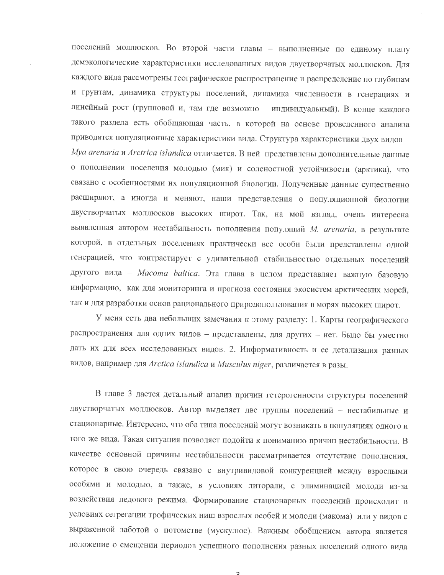поселений моллюсков. Во второй части главы - выполненные по единому плану демэкологические характеристики исследованных видов двустворчатых моллюсков. Для каждого вида рассмотрены географическое распространение и распределение по глубинам и грунтам, динамика структуры поселений, динамика численности в генерациях и линейный рост (групповой и, там где возможно - индивидуальный). В конце каждого такого раздела есть обобщающая часть, в которой на основе проведенного анализа приводятся популяционные характеристики вида. Структура характеристики двух видов -Mya arenaria и Arctrica islandica отличается. В ней представлены дополнительные данные о пополнении поселения молодью (мия) и соленостной устойчивости (арктика), что связано с особенностями их популяционной биологии. Полученные данные существенно расширяют, а иногда и меняют, наши представления о популяционной биологии двустворчатых моллюсков высоких широт. Так, на мой взгляд, очень интересна выявленная автором нестабильность пополнения популяций М. arenaria, в результате которой, в отдельных поселениях практически все особи были представлены одной генерацией, что контрастирует с удивительной стабильностью отдельных поселений другого вида - Macoma baltica. Эта глава в целом представляет важную базовую информацию, как для мониторинга и прогноза состояния экосистем арктических морей, так и для разработки основ рационального природопользования в морях высоких широт.

У меня есть два небольших замечания к этому разделу: 1. Карты географического распространения для одних видов - представлены, для других - нет. Было бы уместно дать их для всех исследованных видов. 2. Информативность и ее детализация разных видов, например для Arctica islandica и Musculus niger, различается в разы.

В главе 3 дается детальный анализ причин гетерогенности структуры поселений двустворчатых моллюсков. Автор выделяет две группы поселений - нестабильные и стационарные. Интересно, что оба типа поселений могут возникать в популяциях одного и того же вида. Такая ситуация позволяет подойти к пониманию причин нестабильности. В качестве основной причины нестабильности рассматривается отсутствие пополнения, которое в свою очередь связано с внутривидовой конкуренцией между взрослыми особями и молодью, а также, в условиях литорали, с элиминацией молоди из-за воздействия ледового режима. Формирование стационарных поселений происходит в условиях сегрегации трофических ниш взрослых особей и молоди (макома) или у видов с выраженной заботой о потомстве (мускулюс). Важным обобщением автора является положение о смещении периодов успешного пополнения разных поселений одного вида

 $\overline{a}$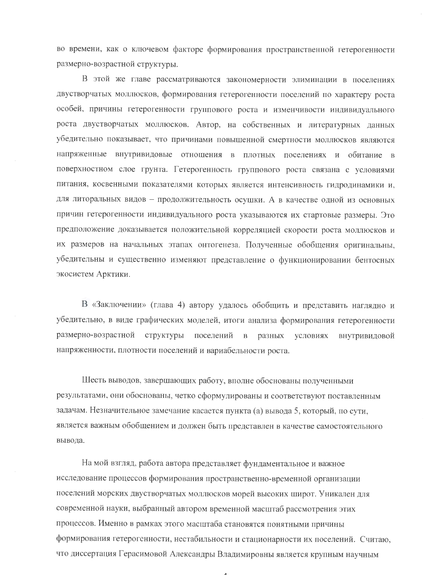во времени, как о ключевом факторе формирования пространственной гетерогенности размерно-возрастной структуры.

В этой же главе рассматриваются закономерности элиминации в поселениях двустворчатых моллюсков, формирования гетерогенности поселений по характеру роста особей, причины гетерогенности группового роста и изменчивости индивидуального роста двустворчатых моллюсков. Автор, на собственных и литературных данных убедительно показывает, что причинами повышенной смертности моллюсков являются напряженные внутривидовые отношения в плотных поселениях и обитание в поверхностном слое грунта. Гетерогенность группового роста связана с условиями питания, косвенными показателями которых является интенсивность гидродинамики и, для литоральных видов - продолжительность осушки. А в качестве одной из основных причин гетерогенности индивидуального роста указываются их стартовые размеры. Это предположение доказывается положительной корреляцией скорости роста моллюсков и их размеров на начальных этапах онтогенеза. Полученные обобщения оригинальны, убедительны и существенно изменяют представление о функционировании бентосных экосистем Арктики.

В «Заключении» (глава 4) автору удалось обобщить и представить наглядно и убедительно, в виде графических моделей, итоги анализа формирования гетерогенности размерно-возрастной структуры поселений в разных условиях внутривидовой напряженности, плотности поселений и вариабельности роста.

Шесть выводов, завершающих работу, вполне обоснованы полученными результатами, они обоснованы, четко сформулированы и соответствуют поставленным задачам. Незначительное замечание касается пункта (а) вывода 5, который, по сути, является важным обобщением и должен быть представлен в качестве самостоятельного вывода.

На мой взгляд, работа автора представляет фундаментальное и важное исследование процессов формирования пространственно-временной организации поселений морских двустворчатых моллюсков морей высоких широт. Уникален для современной науки, выбранный автором временной масштаб рассмотрения этих процессов. Именно в рамках этого масштаба становятся понятными причины формирования гетерогенности, нестабильности и стационарности их поселений. Считаю, что диссертация Герасимовой Александры Владимировны является крупным научным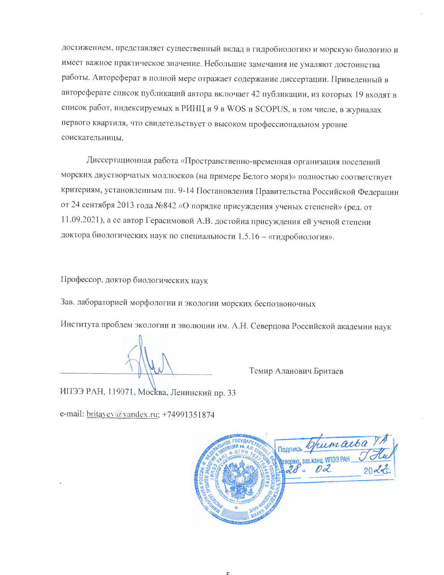достижением, представляет существенный вклад в гидробиологию и морскую биологию и имеет важное практическое значение. Небольшие замечания не умаляют достоинства работы. Автореферат в полной мере отражает содержание диссертации. Приведенный в автореферате список публикаций автора включает 42 публикации, из которых 19 входят в список работ, индексируемых в РИНЦ и 9 в WOS и SCOPUS, в том числе, в журналах первого квартиля, что свидетельствует о высоком профессиональном уровне соискательницы.

Диссертационная работа «Пространственно-временная организация поселений морских двустворчатых моллюсков (на примере Белого моря)» полностью соответствует критериям, установленным пп. 9-14 Постановления Правительства Российской Федерации от 24 сентября 2013 года №842 «О порядке присуждения ученых степеней» (ред. от 11.09.2021), а ее автор Герасимовой А.В. достойна присуждения ей ученой степени доктора биологических наук по специальности 1.5.16 - «гидробиология».

Профессор, доктор биологических наук

Зав. лабораторией морфологии и экологии морских беспозвоночных

Института проблем экологии и эволюции им. А.Н. Северцова Российской академии наук

Темир Аланович Бритаев

ИПЭЭ РАН, 119071, Москва, Ленинский пр. 33

e-mail:  $\frac{brtayev(\partial y)}{brtayev}$  +74991351874

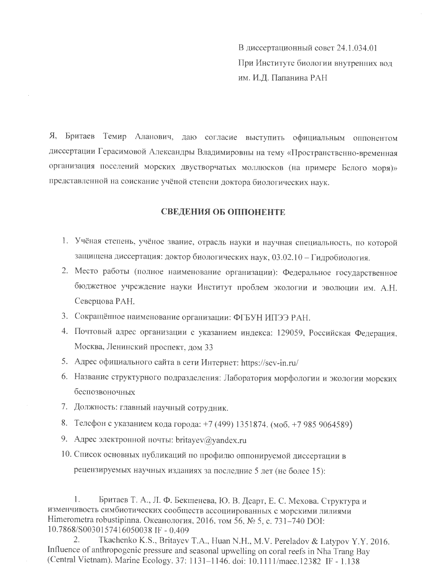В диссертационный совет 24.1.034.01 При Институте биологии внутренних вод им. И.Д. Папанина РАН

Я, Бритаев Темир Аланович, даю согласие выступить официальным оппонентом диссертации Герасимовой Александры Владимировны на тему «Пространственно-временная организация поселений морских двустворчатых моллюсков (на примере Белого моря)» представленной на соискание учёной степени доктора биологических наук.

## СВЕДЕНИЯ ОБ ОППОНЕНТЕ

- 1. Учёная степень, учёное звание, отрасль науки и научная специальность, по которой защищена диссертация: доктор биологических наук, 03.02.10 - Гидробиология.
- 2. Место работы (полное наименование организации): Федеральное государственное бюджетное учреждение науки Институт проблем экологии и эволюции им. А.Н. Северцова РАН.
- 3. Сокращённое наименование организации: ФГБУН ИПЭЭ РАН.
- 4. Почтовый адрес организации с указанием индекса: 129059, Российская Федерация, Москва, Ленинский проспект, дом 33
- 5. Адрес официального сайта в сети Интернет: https://sev-in.ru/
- 6. Название структурного подразделения: Лаборатория морфологии и экологии морских беспозвоночных
- 7. Должность: главный научный сотрудник.
- 8. Телефон с указанием кода города: +7 (499) 1351874. (моб. +7 985 9064589)
- 9. Адрес электронной почты: britayev@yandex.ru
- 10. Список основных публикаций по профилю оппонируемой диссертации в рецензируемых научных изданиях за последние 5 лет (не более 15):

1. Бритаев Т. А., Л. Ф. Бекшенева, Ю. В. Деарт, Е. С. Мехова. Структура и изменчивость симбиотических сообществ ассоциированных с морскими лилиями Himerometra robustipinna. Океанология, 2016, том 56, № 5, с. 731-740 DOI: 10.7868/S0030157416050038 IF - 0.409

Tkachenko K.S., Britayev T.A., Huan N.H., M.V. Pereladov & Latypov Y.Y. 2016.  $2.$ Influence of anthropogenic pressure and seasonal upwelling on coral reefs in Nha Trang Bay (Central Vietnam). Marine Ecology. 37: 1131-1146. doi: 10.1111/maec.12382 IF - 1.138